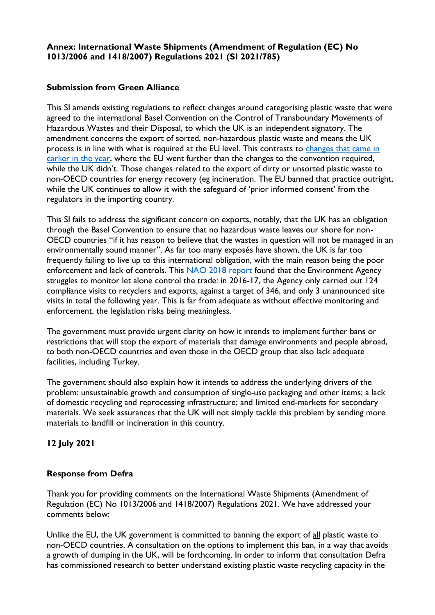### **Submission from Green Alliance**

This SI amends existing regulations to reflect changes around categorising plastic waste that were agreed to the international Basel Convention on the Control of Transboundary Movements of Hazardous Wastes and their Disposal, to which the UK is an independent signatory. The amendment concerns the export of sorted, non-hazardous plastic waste and means the UK process is in line with what is required at the EU level. This contrasts to [changes that came in](https://deframedia.blog.gov.uk/2021/01/22/defra-responds-to-coverage-on-plastic-waste-exports/)  [earlier in the year,](https://deframedia.blog.gov.uk/2021/01/22/defra-responds-to-coverage-on-plastic-waste-exports/) where the EU went further than the changes to the convention required, while the UK didn't. Those changes related to the export of dirty or unsorted plastic waste to non-OECD countries for energy recovery (eg incineration. The EU banned that practice outright, while the UK continues to allow it with the safeguard of 'prior informed consent' from the regulators in the importing country.

This SI fails to address the significant concern on exports, notably, that the UK has an obligation through the Basel Convention to ensure that no hazardous waste leaves our shore for non-OECD countries "if it has reason to believe that the wastes in question will not be managed in an environmentally sound manner". As far too many exposés have shown, the UK is far too frequently failing to live up to this international obligation, with the main reason being the poor enforcement and lack of controls. This [NAO 2018 report](https://protect-eu.mimecast.com/s/aI_xCwVJBf6rwwmhVRoPC?domain=nao.org.uk) found that the Environment Agency struggles to monitor let alone control the trade: in 2016-17, the Agency only carried out 124 compliance visits to recyclers and exports, against a target of 346, and only 3 unannounced site visits in total the following year. This is far from adequate as without effective monitoring and enforcement, the legislation risks being meaningless.

The government must provide urgent clarity on how it intends to implement further bans or restrictions that will stop the export of materials that damage environments and people abroad, to both non-OECD countries and even those in the OECD group that also lack adequate facilities, including Turkey.

The government should also explain how it intends to address the underlying drivers of the problem: unsustainable growth and consumption of single-use packaging and other items; a lack of domestic recycling and reprocessing infrastructure; and limited end-markets for secondary materials. We seek assurances that the UK will not simply tackle this problem by sending more materials to landfill or incineration in this country.

# **12 July 2021**

#### **Response from Defra**

Thank you for providing comments on the International Waste Shipments (Amendment of Regulation (EC) No 1013/2006 and 1418/2007) Regulations 2021. We have addressed your comments below:

Unlike the EU, the UK government is committed to banning the export of all plastic waste to non-OECD countries. A consultation on the options to implement this ban, in a way that avoids a growth of dumping in the UK, will be forthcoming. In order to inform that consultation Defra has commissioned research to better understand existing plastic waste recycling capacity in the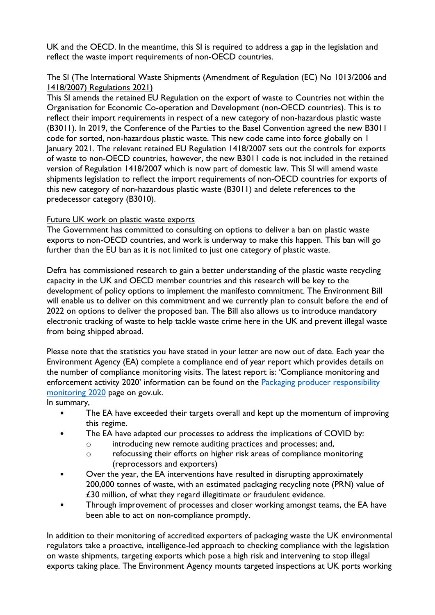UK and the OECD. In the meantime, this SI is required to address a gap in the legislation and reflect the waste import requirements of non-OECD countries.

### The SI (The International Waste Shipments (Amendment of Regulation (EC) No 1013/2006 and 1418/2007) Regulations 2021)

This SI amends the retained EU Regulation on the export of waste to Countries not within the Organisation for Economic Co-operation and Development (non-OECD countries). This is to reflect their import requirements in respect of a new category of non-hazardous plastic waste (B3011). In 2019, the Conference of the Parties to the Basel Convention agreed the new B3011 code for sorted, non-hazardous plastic waste. This new code came into force globally on 1 January 2021. The relevant retained EU Regulation 1418/2007 sets out the controls for exports of waste to non-OECD countries, however, the new B3011 code is not included in the retained version of Regulation 1418/2007 which is now part of domestic law. This SI will amend waste shipments legislation to reflect the import requirements of non-OECD countries for exports of this new category of non-hazardous plastic waste (B3011) and delete references to the predecessor category (B3010).

# Future UK work on plastic waste exports

The Government has committed to consulting on options to deliver a ban on plastic waste exports to non-OECD countries, and work is underway to make this happen. This ban will go further than the EU ban as it is not limited to just one category of plastic waste.

Defra has commissioned research to gain a better understanding of the plastic waste recycling capacity in the UK and OECD member countries and this research will be key to the development of policy options to implement the manifesto commitment. The Environment Bill will enable us to deliver on this commitment and we currently plan to consult before the end of 2022 on options to deliver the proposed ban. The Bill also allows us to introduce mandatory electronic tracking of waste to help tackle waste crime here in the UK and prevent illegal waste from being shipped abroad.

Please note that the statistics you have stated in your letter are now out of date. Each year the Environment Agency (EA) complete a compliance end of year report which provides details on the number of compliance monitoring visits. The latest report is: 'Compliance monitoring and enforcement activity 2020' information can be found on the Packaging producer responsibility [monitoring 2020](https://www.gov.uk/government/publications/packaging-producer-responsibility-monitoring-2020) page on gov.uk.

In summary,

- The EA have exceeded their targets overall and kept up the momentum of improving this regime.
- The EA have adapted our processes to address the implications of COVID by:
	- o introducing new remote auditing practices and processes; and,
	- o refocussing their efforts on higher risk areas of compliance monitoring (reprocessors and exporters)
- Over the year, the EA interventions have resulted in disrupting approximately 200,000 tonnes of waste, with an estimated packaging recycling note (PRN) value of £30 million, of what they regard illegitimate or fraudulent evidence.
- Through improvement of processes and closer working amongst teams, the EA have been able to act on non-compliance promptly.

In addition to their monitoring of accredited exporters of packaging waste the UK environmental regulators take a proactive, intelligence-led approach to checking compliance with the legislation on waste shipments, targeting exports which pose a high risk and intervening to stop illegal exports taking place. The Environment Agency mounts targeted inspections at UK ports working